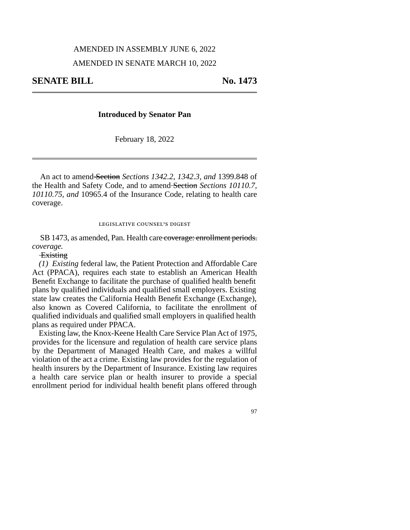## AMENDED IN ASSEMBLY JUNE 6, 2022

## AMENDED IN SENATE MARCH 10, 2022

# **Introduced by Senator Pan**

February 18, 2022

An act to amend Section *Sections 1342.2, 1342.3, and* 1399.848 of the Health and Safety Code, and to amend Section *Sections 10110.7, 10110.75, and* 10965.4 of the Insurance Code, relating to health care coverage.

#### legislative counsel's digest

SB 1473, as amended, Pan. Health care coverage: enrollment periods. *coverage.*

# **Existing**

*(1) Existing* federal law, the Patient Protection and Affordable Care Act (PPACA), requires each state to establish an American Health Benefit Exchange to facilitate the purchase of qualified health benefit plans by qualified individuals and qualified small employers. Existing state law creates the California Health Benefit Exchange (Exchange), also known as Covered California, to facilitate the enrollment of qualified individuals and qualified small employers in qualified health plans as required under PPACA.

Existing law, the Knox-Keene Health Care Service Plan Act of 1975, provides for the licensure and regulation of health care service plans by the Department of Managed Health Care, and makes a willful violation of the act a crime. Existing law provides for the regulation of health insurers by the Department of Insurance. Existing law requires a health care service plan or health insurer to provide a special enrollment period for individual health benefit plans offered through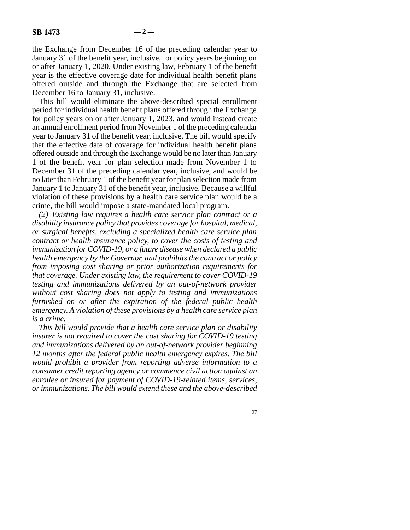the Exchange from December 16 of the preceding calendar year to January 31 of the benefit year, inclusive, for policy years beginning on or after January 1, 2020. Under existing law, February 1 of the benefit year is the effective coverage date for individual health benefit plans offered outside and through the Exchange that are selected from December 16 to January 31, inclusive.

This bill would eliminate the above-described special enrollment period for individual health benefit plans offered through the Exchange for policy years on or after January 1, 2023, and would instead create an annual enrollment period from November 1 of the preceding calendar year to January 31 of the benefit year, inclusive. The bill would specify that the effective date of coverage for individual health benefit plans offered outside and through the Exchange would be no later than January 1 of the benefit year for plan selection made from November 1 to December 31 of the preceding calendar year, inclusive, and would be no later than February 1 of the benefit year for plan selection made from January 1 to January 31 of the benefit year, inclusive. Because a willful violation of these provisions by a health care service plan would be a crime, the bill would impose a state-mandated local program.

*(2) Existing law requires a health care service plan contract or a disability insurance policy that provides coverage for hospital, medical, or surgical benefits, excluding a specialized health care service plan contract or health insurance policy, to cover the costs of testing and immunization for COVID-19, or a future disease when declared a public health emergency by the Governor, and prohibits the contract or policy from imposing cost sharing or prior authorization requirements for that coverage. Under existing law, the requirement to cover COVID-19 testing and immunizations delivered by an out-of-network provider without cost sharing does not apply to testing and immunizations furnished on or after the expiration of the federal public health emergency. A violation of these provisions by a health care service plan is a crime.* 

*This bill would provide that a health care service plan or disability insurer is not required to cover the cost sharing for COVID-19 testing and immunizations delivered by an out-of-network provider beginning 12 months after the federal public health emergency expires. The bill would prohibit a provider from reporting adverse information to a consumer credit reporting agency or commence civil action against an enrollee or insured for payment of COVID-19-related items, services, or immunizations. The bill would extend these and the above-described*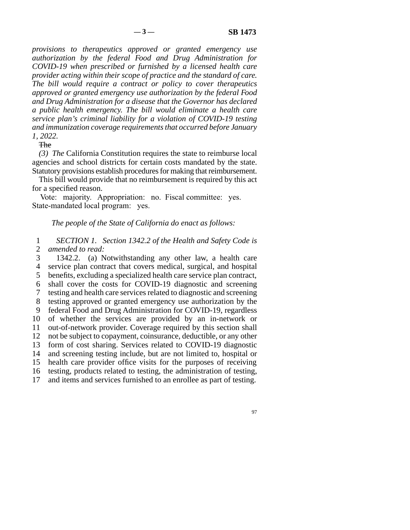*provisions to therapeutics approved or granted emergency use authorization by the federal Food and Drug Administration for COVID-19 when prescribed or furnished by a licensed health care provider acting within their scope of practice and the standard of care. The bill would require a contract or policy to cover therapeutics approved or granted emergency use authorization by the federal Food and Drug Administration for a disease that the Governor has declared a public health emergency. The bill would eliminate a health care service plan's criminal liability for a violation of COVID-19 testing and immunization coverage requirements that occurred before January 1, 2022.* 

**The** 

*(3) The* California Constitution requires the state to reimburse local agencies and school districts for certain costs mandated by the state. Statutory provisions establish procedures for making that reimbursement.

This bill would provide that no reimbursement is required by this act for a specified reason.

Vote: majority. Appropriation: no. Fiscal committee: yes. State-mandated local program: yes.

# *The people of the State of California do enact as follows:*

 line 1 *SECTION 1. Section 1342.2 of the Health and Safety Code is*  2 *amended to read:* 

 line 3 1342.2. (a) Notwithstanding any other law, a health care line 4 service plan contract that covers medical, surgical, and hospital 5 benefits, excluding a specialized health care service plan contract, 6 shall cover the costs for COVID-19 diagnostic and screening line 7 testing and health care services related to diagnostic and screening 8 testing approved or granted emergency use authorization by the 9 federal Food and Drug Administration for COVID-19, regardless 10 of whether the services are provided by an in-network or 11 out-of-network provider. Coverage required by this section shall 12 not be subject to copayment, coinsurance, deductible, or any other 13 form of cost sharing. Services related to COVID-19 diagnostic 14 and screening testing include, but are not limited to, hospital or 15 health care provider office visits for the purposes of receiving 16 testing, products related to testing, the administration of testing, 17 and items and services furnished to an enrollee as part of testing.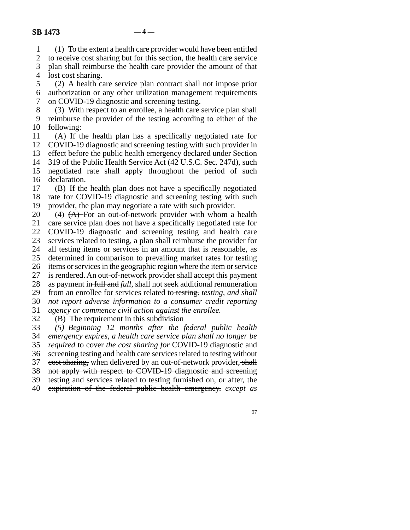line 1 (1) To the extent a health care provider would have been entitled

2 to receive cost sharing but for this section, the health care service<br>3 plan shall reimburse the health care provider the amount of that

plan shall reimburse the health care provider the amount of that 4 lost cost sharing.

5 (2) A health care service plan contract shall not impose prior

 line 6 authorization or any other utilization management requirements 7 on COVID-19 diagnostic and screening testing.

8 (3) With respect to an enrollee, a health care service plan shall 9 reimburse the provider of the testing according to either of the 10 following:

 line 11 (A) If the health plan has a specifically negotiated rate for 12 COVID-19 diagnostic and screening testing with such provider in 13 effect before the public health emergency declared under Section 14 319 of the Public Health Service Act (42 U.S.C. Sec. 247d), such 15 negotiated rate shall apply throughout the period of such

16 declaration.  $17$  (B) If the health plan does not have a specifically negotiated 18 rate for COVID-19 diagnostic and screening testing with such 19 provider, the plan may negotiate a rate with such provider.

20 (4)  $(A)$   $\rightarrow$  For an out-of-network provider with whom a health 21 care service plan does not have a specifically negotiated rate for 22 COVID-19 diagnostic and screening testing and health care 23 services related to testing, a plan shall reimburse the provider for 24 all testing items or services in an amount that is reasonable, as 25 determined in comparison to prevailing market rates for testing determined in comparison to prevailing market rates for testing 26 items or services in the geographic region where the item or service 27 is rendered. An out-of-network provider shall accept this payment 28 as payment in full and *full*, shall not seek additional remuneration line 29 from an enrollee for services related to testing. *testing, and shall*  line 30 *not report adverse information to a consumer credit reporting*  31 *agency or commence civil action against the enrollee.* 

32 (B) The requirement in this subdivision<br>33 (5) Beginning 12 months after the f line 33 *(5) Beginning 12 months after the federal public health*  line 34 *emergency expires, a health care service plan shall no longer be*  line 35 *required* to cover *the cost sharing for* COVID-19 diagnostic and 36 screening testing and health care services related to testing without 37 cost sharing, when delivered by an out-of-network provider, shall 38 not apply with respect to COVID-19 diagnostic and screening 39 testing and services related to testing furnished on, or after, the line 40 expiration of the federal public health emergency. *except as*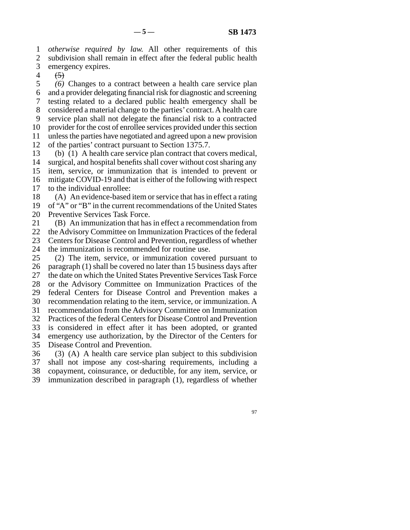1 *otherwise required by law.* All other requirements of this 2 subdivision shall remain in effect after the federal public health 3 emergency expires.

4  $(5)$ 

 line 5 *(6)* Changes to a contract between a health care service plan line 6 and a provider delegating financial risk for diagnostic and screening line 7 testing related to a declared public health emergency shall be 8 considered a material change to the parties' contract. A health care 9 service plan shall not delegate the financial risk to a contracted 10 provider for the cost of enrollee services provided under this section 11 unless the parties have negotiated and agreed upon a new provision 12 of the parties' contract pursuant to Section 1375.7.

13 (b) (1) A health care service plan contract that covers medical, 14 surgical, and hospital benefits shall cover without cost sharing any 15 item, service, or immunization that is intended to prevent or 16 mitigate COVID-19 and that is either of the following with respect 17 to the individual enrollee:

18 (A) An evidence-based item or service that has in effect a rating 19 of "A" or "B" in the current recommendations of the United States 20 Preventive Services Task Force.

21 (B) An immunization that has in effect a recommendation from 22 the Advisory Committee on Immunization Practices of the federal 23 Centers for Disease Control and Prevention, regardless of whether

24 the immunization is recommended for routine use.<br>25 (2) The item, service, or immunization covere  $\lambda$ ) The item, service, or immunization covered pursuant to 26 paragraph  $(1)$  shall be covered no later than 15 business days after 27 the date on which the United States Preventive Services Task Force 28 or the Advisory Committee on Immunization Practices of the 29 federal Centers for Disease Control and Prevention makes a 30 recommendation relating to the item, service, or immunization. A 31 recommendation from the Advisory Committee on Immunization 32 Practices of the federal Centers for Disease Control and Prevention 33 is considered in effect after it has been adopted, or granted 34 emergency use authorization, by the Director of the Centers for 35 Disease Control and Prevention.

 $36$  (3) (A) A health care service plan subject to this subdivision 37 shall not impose any cost-sharing requirements, including a 38 copayment, coinsurance, or deductible, for any item, service, or 39 immunization described in paragraph (1), regardless of whether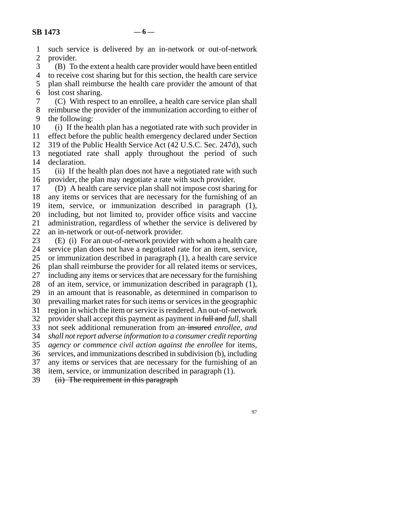| $\mathbf{1}$             | such service is delivered by an in-network or out-of-network                                                                    |
|--------------------------|---------------------------------------------------------------------------------------------------------------------------------|
| $\overline{2}$           | provider.                                                                                                                       |
| 3                        | (B) To the extent a health care provider would have been entitled                                                               |
| $\overline{\mathcal{L}}$ | to receive cost sharing but for this section, the health care service                                                           |
| 5                        | plan shall reimburse the health care provider the amount of that                                                                |
| 6                        | lost cost sharing.                                                                                                              |
| 7                        | (C) With respect to an enrollee, a health care service plan shall                                                               |
| 8                        | reimburse the provider of the immunization according to either of                                                               |
| 9                        | the following:                                                                                                                  |
| 10                       | (i) If the health plan has a negotiated rate with such provider in                                                              |
| 11                       | effect before the public health emergency declared under Section                                                                |
| 12                       | 319 of the Public Health Service Act (42 U.S.C. Sec. 247d), such                                                                |
| 13                       | negotiated rate shall apply throughout the period of such                                                                       |
| 14                       | declaration.                                                                                                                    |
| 15                       | (ii) If the health plan does not have a negotiated rate with such                                                               |
| 16                       | provider, the plan may negotiate a rate with such provider.                                                                     |
| 17                       | (D) A health care service plan shall not impose cost sharing for                                                                |
| 18<br>19                 | any items or services that are necessary for the furnishing of an<br>item, service, or immunization described in paragraph (1), |
| 20                       | including, but not limited to, provider office visits and vaccine                                                               |
| 21                       | administration, regardless of whether the service is delivered by                                                               |
| 22                       | an in-network or out-of-network provider.                                                                                       |
| 23                       | (E) (i) For an out-of-network provider with whom a health care                                                                  |
| 24                       | service plan does not have a negotiated rate for an item, service,                                                              |
| 25                       | or immunization described in paragraph (1), a health care service                                                               |
| 26                       | plan shall reimburse the provider for all related items or services,                                                            |
| 27                       | including any items or services that are necessary for the furnishing                                                           |
| 28                       | of an item, service, or immunization described in paragraph (1),                                                                |
| 29                       | in an amount that is reasonable, as determined in comparison to                                                                 |
| 30                       | prevailing market rates for such items or services in the geographic                                                            |
| 31                       | region in which the item or service is rendered. An out-of-network                                                              |
| 32                       | provider shall accept this payment as payment in full and full, shall                                                           |
| 33                       | not seek additional remuneration from an-insured enrollee, and                                                                  |
| 34                       | shall not report adverse information to a consumer credit reporting                                                             |
| 35                       | agency or commence civil action against the enrollee for items,                                                                 |
| 36                       | services, and immunizations described in subdivision (b), including                                                             |
| 37                       | any items or services that are necessary for the furnishing of an                                                               |
| 38                       | item, service, or immunization described in paragraph (1).                                                                      |
| 39                       | (ii) The requirement in this paragraph                                                                                          |
|                          |                                                                                                                                 |
|                          |                                                                                                                                 |
|                          | 97                                                                                                                              |
|                          |                                                                                                                                 |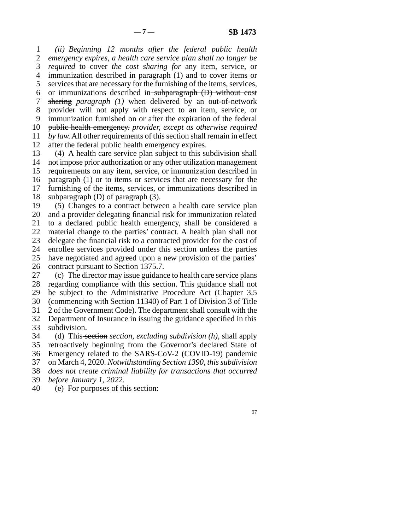line 1 *(ii) Beginning 12 months after the federal public health*  2 emergency expires, a health care service plan shall no longer be line 3 *required* to cover *the cost sharing for* any item, service, or 4 immunization described in paragraph (1) and to cover items or 5 services that are necessary for the furnishing of the items, services, 6 or immunizations described in subparagraph  $(D)$  without cost line 7 sharing *paragraph (1)* when delivered by an out-of-network 8 provider will not apply with respect to an item, service, or 9 immunization furnished on or after the expiration of the federal 10 public health emergency. *provider, except as otherwise required* 11 *by law.* All other requirements of this section shall remain in effect 12 after the federal public health emergency expires.

13 (4) A health care service plan subject to this subdivision shall 14 not impose prior authorization or any other utilization management 15 requirements on any item, service, or immunization described in 16 paragraph (1) or to items or services that are necessary for the 17 furnishing of the items, services, or immunizations described in 18 subparagraph  $(D)$  of paragraph  $(3)$ .

19 (5) Changes to a contract between a health care service plan 20 and a provider delegating financial risk for immunization related 21 to a declared public health emergency, shall be considered a 22 material change to the parties' contract. A health plan shall not 23 delegate the financial risk to a contracted provider for the cost of 24 enrollee services provided under this section unless the parties<br>25 have negotiated and agreed upon a new provision of the parties' have negotiated and agreed upon a new provision of the parties' 26 contract pursuant to Section 1375.7.

27 (c) The director may issue guidance to health care service plans 28 regarding compliance with this section. This guidance shall not 29 be subject to the Administrative Procedure Act (Chapter 3.5) 30 (commencing with Section 11340) of Part 1 of Division 3 of Title 31 2 of the Government Code). The department shall consult with the 32 Department of Insurance in issuing the guidance specified in this subdivision. subdivision.

 line 34 (d) This section *section, excluding subdivision (h),* shall apply 35 retroactively beginning from the Governor's declared State of 36 Emergency related to the SARS-CoV-2 (COVID-19) pandemic line 37 on March 4, 2020. *Notwithstanding Section 1390, this subdivision*  38 *does not create criminal liability for transactions that occurred* 

line 39 *before January 1, 2022.*

40 (e) For purposes of this section: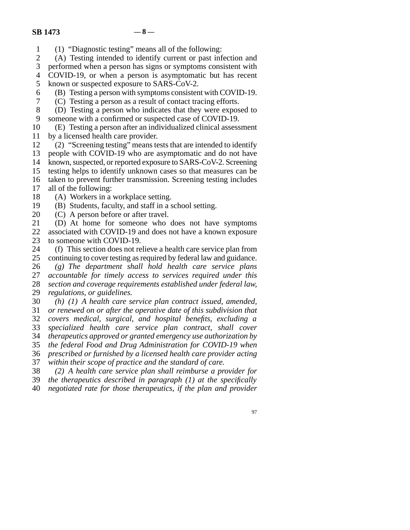- line 1 (1) "Diagnostic testing" means all of the following:
- 2 (A) Testing intended to identify current or past infection and<br>3 performed when a person has signs or symptoms consistent with

performed when a person has signs or symptoms consistent with

4 COVID-19, or when a person is asymptomatic but has recent 5 known or suspected exposure to SARS-CoV-2.

- $\delta$  (B) Testing a person with symptoms consistent with COVID-19.
- line 7 (C) Testing a person as a result of contact tracing efforts.
- 8 (D) Testing a person who indicates that they were exposed to 9 someone with a confirmed or suspected case of COVID-19.
- 10 (E) Testing a person after an individualized clinical assessment
- 11 by a licensed health care provider.
- 12 (2) "Screening testing" means tests that are intended to identify 13 people with COVID-19 who are asymptomatic and do not have 14 known, suspected, or reported exposure to SARS-CoV-2. Screening 15 testing helps to identify unknown cases so that measures can be
- 16 taken to prevent further transmission. Screening testing includes
- 17 all of the following:
- 18 (A) Workers in a workplace setting.
- 19 (B) Students, faculty, and staff in a school setting.
- 20  $(C)$  A person before or after travel.
- 21 (D) At home for someone who does not have symptoms 22 associated with COVID-19 and does not have a known exposure<br>23 to someone with COVID-19. to someone with COVID-19.
- 24 (f) This section does not relieve a health care service plan from<br>25 continuing to cover testing as required by federal law and guidance. continuing to cover testing as required by federal law and guidance.
- 26 (g) The department shall hold health care service plans 27 accountable for timely access to services required under this accountable for timely access to services required under this line 28 *section and coverage requirements established under federal law,*  29 *regulations, or guidelines.*
- line 30 *(h) (1) A health care service plan contract issued, amended,*  line 31 *or renewed on or after the operative date of this subdivision that*  line 32 *covers medical, surgical, and hospital benefits, excluding a*  33 specialized health care service plan contract, shall cover line 34 *therapeutics approved or granted emergency use authorization by*  line 35 *the federal Food and Drug Administration for COVID-19 when*  line 36 *prescribed or furnished by a licensed health care provider acting*  37 *within their scope of practice and the standard of care.*
- line 38 *(2) A health care service plan shall reimburse a provider for*
- line 39 *the therapeutics described in paragraph (1) at the specifically*
- line 40 *negotiated rate for those therapeutics, if the plan and provider* 
	- 97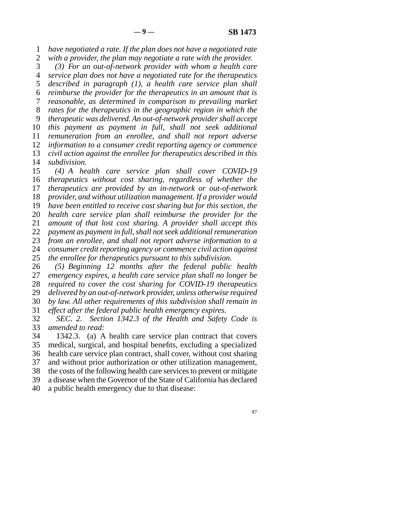1 *have negotiated a rate. If the plan does not have a negotiated rate* 

2 *with a provider, the plan may negotiate a rate with the provider.*<br>3 (3) For an out-of-network provider with whom a health car (3) For an out-of-network provider with whom a health care line 4 *service plan does not have a negotiated rate for the therapeutics*  5 *described in paragraph (1), a health care service plan shall*  line 6 *reimburse the provider for the therapeutics in an amount that is*  line 7 *reasonable, as determined in comparison to prevailing market*  line 8 *rates for the therapeutics in the geographic region in which the*  line 9 *therapeutic was delivered. An out-of-network provider shall accept*  10 *this payment as payment in full, shall not seek additional* 11 *remuneration from an enrollee, and shall not report adverse* 12 *information to a consumer credit reporting agency or commence* 13 *civil action against the enrollee for therapeutics described in this* 14 *subdivision.* 

15 (4) A health care service plan shall cover COVID-19 *therapeutics without cost sharing, regardless of whether the therapeutics are provided by an in-network or out-of-network provider, and without utilization management. If a provider would have been entitled to receive cost sharing but for this section, the health care service plan shall reimburse the provider for the amount of that lost cost sharing. A provider shall accept this payment as payment in full, shall not seek additional remuneration*<br>23 *from an enrollee, and shall not report adverse information to a* from an enrollee, and shall not report adverse information to a *consumer credit reporting agency or commence civil action against* 25 *the enrollee for therapeutics pursuant to this subdivision. the enrollee for therapeutics pursuant to this subdivision.* 

26 (5) Beginning 12 months after the federal public health <br>27 emergency expires, a health care service plan shall no longer be emergency expires, a health care service plan shall no longer be 28 *required to cover the cost sharing for COVID-19 therapeutics* 29 *delivered by an out-of-network provider, unless otherwise required*  line 30 *by law. All other requirements of this subdivision shall remain in*  31 *effect after the federal public health emergency expires.* 

32 *SEC. 2. Section 1342.3 of the Health and Safety Code is amended to read:* 

amended to read: 34 1342.3. (a) A health care service plan contract that covers

35 medical, surgical, and hospital benefits, excluding a specialized 36 health care service plan contract, shall cover, without cost sharing 37 and without prior authorization or other utilization management,

38 the costs of the following health care services to prevent or mitigate

39 a disease when the Governor of the State of California has declared

40 a public health emergency due to that disease: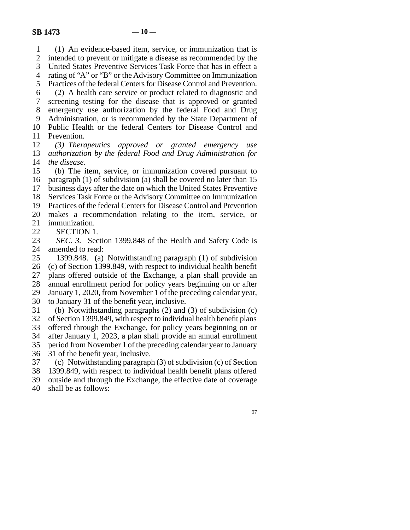1 (1) An evidence-based item, service, or immunization that is 2 intended to prevent or mitigate a disease as recommended by the<br>3 United States Preventive Services Task Force that has in effect a United States Preventive Services Task Force that has in effect a line 4 rating of "A" or "B" or the Advisory Committee on Immunization 5 Practices of the federal Centers for Disease Control and Prevention. line 6 (2) A health care service or product related to diagnostic and line 7 screening testing for the disease that is approved or granted 8 emergency use authorization by the federal Food and Drug 9 Administration, or is recommended by the State Department of 10 Public Health or the federal Centers for Disease Control and 11 Prevention. 12 (3) Therapeutics approved or granted emergency use 13 *authorization by the federal Food and Drug Administration for* 14 *the disease.* 15 (b) The item, service, or immunization covered pursuant to 16 paragraph (1) of subdivision (a) shall be covered no later than  $15$ 17 business days after the date on which the United States Preventive 18 Services Task Force or the Advisory Committee on Immunization 19 Practices of the federal Centers for Disease Control and Prevention 20 makes a recommendation relating to the item, service, or 21 immunization. 22 **SECTION 1.**<br>23 *SEC*, 3. Sec *SEC. 3.* Section 1399.848 of the Health and Safety Code is 24 amended to read:<br>25 1399.848. (a) 1399.848. (a) Notwithstanding paragraph (1) of subdivision 26 (c) of Section 1399.849, with respect to individual health benefit 27 plans offered outside of the Exchange, a plan shall provide an 28 annual enrollment period for policy years beginning on or after 29 January 1, 2020, from November 1 of the preceding calendar year, 30 to January 31 of the benefit year, inclusive. 31 (b) Notwithstanding paragraphs (2) and (3) of subdivision (c) 32 of Section 1399.849, with respect to individual health benefit plans<br>33 offered through the Exchange, for policy years beginning on or offered through the Exchange, for policy years beginning on or 34 after January 1, 2023, a plan shall provide an annual enrollment 35 period from November 1 of the preceding calendar year to January 36 31 of the benefit year, inclusive. 37 (c) Notwithstanding paragraph (3) of subdivision (c) of Section

38 1399.849, with respect to individual health benefit plans offered 39 outside and through the Exchange, the effective date of coverage

40 shall be as follows: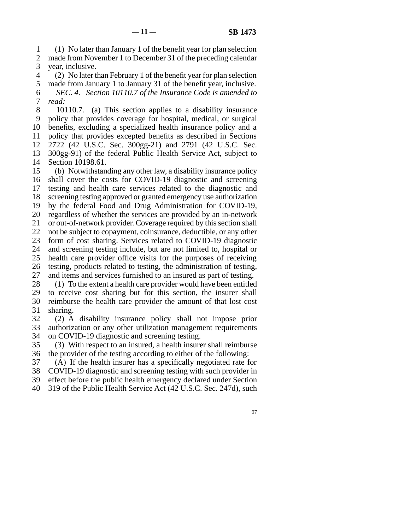line 1 (1) No later than January 1 of the benefit year for plan selection 2 made from November 1 to December 31 of the preceding calendar 3 year, inclusive.

line 4 (2) No later than February 1 of the benefit year for plan selection

5 made from January 1 to January 31 of the benefit year, inclusive. line 6 *SEC. 4. Section 10110.7 of the Insurance Code is amended to*  7 *read:* 

8 10110.7. (a) This section applies to a disability insurance 9 policy that provides coverage for hospital, medical, or surgical 10 benefits, excluding a specialized health insurance policy and a 11 policy that provides excepted benefits as described in Sections line 12 2722 (42 U.S.C. Sec. 300gg-21) and 2791 (42 U.S.C. Sec. 13 300gg-91) of the federal Public Health Service Act, subject to 14 Section 10198.61.

15 (b) Notwithstanding any other law, a disability insurance policy 16 shall cover the costs for COVID-19 diagnostic and screening 17 testing and health care services related to the diagnostic and 18 screening testing approved or granted emergency use authorization 19 by the federal Food and Drug Administration for COVID-19, 20 regardless of whether the services are provided by an in-network 21 or out-of-network provider. Coverage required by this section shall 22 not be subject to copayment, coinsurance, deductible, or any other 23 form of cost sharing. Services related to COVID-19 diagnostic 24 and screening testing include, but are not limited to, hospital or 25 health care provider office visits for the purposes of receiving health care provider office visits for the purposes of receiving 26 testing, products related to testing, the administration of testing, 27 and items and services furnished to an insured as part of testing.  $28$  (1) To the extent a health care provider would have been entitled

29 to receive cost sharing but for this section, the insurer shall 30 reimburse the health care provider the amount of that lost cost 31 sharing.

 line 32 (2) A disability insurance policy shall not impose prior 33 authorization or any other utilization management requirements 34 on COVID-19 diagnostic and screening testing.

35 (3) With respect to an insured, a health insurer shall reimburse 36 the provider of the testing according to either of the following:

37 (A) If the health insurer has a specifically negotiated rate for

38 COVID-19 diagnostic and screening testing with such provider in 39 effect before the public health emergency declared under Section

40 319 of the Public Health Service Act (42 U.S.C. Sec. 247d), such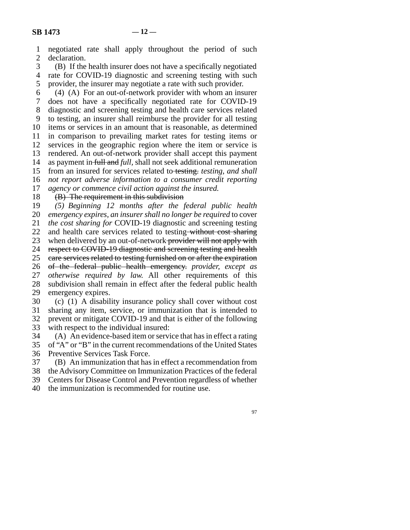line 1 negotiated rate shall apply throughout the period of such 2 declaration.<br>3 (B) If the

(B) If the health insurer does not have a specifically negotiated 4 rate for COVID-19 diagnostic and screening testing with such 5 provider, the insurer may negotiate a rate with such provider.

 $\delta$  (4) (A) For an out-of-network provider with whom an insurer 7 does not have a specifically negotiated rate for COVID-19 8 diagnostic and screening testing and health care services related 9 to testing, an insurer shall reimburse the provider for all testing 10 items or services in an amount that is reasonable, as determined 11 in comparison to prevailing market rates for testing items or 12 services in the geographic region where the item or service is 13 rendered. An out-of-network provider shall accept this payment 14 as payment in full and *full*, shall not seek additional remuneration 15 from an insured for services related to testing. *testing*, and shall 16 *not report adverse information to a consumer credit reporting* 

17 *agency or commence civil action against the insured.* 

 $18$  (B) The requirement in this subdivision

19 (5) Beginning 12 months after the federal public health 20 *emergency expires, an insurer shall no longer be required* to cover line 21 *the cost sharing for* COVID-19 diagnostic and screening testing 22 and health care services related to testing without cost sharing<br>23 when delivered by an out-of-network provider will not apply with when delivered by an out-of-network provider will not apply with 24 respect to COVID-19 diagnostic and screening testing and health<br>25 eare services related to testing furnished on or after the expiration eare services related to testing furnished on or after the expiration 26 of the federal public health emergency. provider, except as 27 *otherwise required by law.* All other requirements of this 28 subdivision shall remain in effect after the federal public health 29 emergency expires.

30 (c) (1) A disability insurance policy shall cover without cost 31 sharing any item, service, or immunization that is intended to 32 prevent or mitigate COVID-19 and that is either of the following<br>33 with respect to the individual insured:

with respect to the individual insured:

34 (A) An evidence-based item or service that has in effect a rating

35 of "A" or "B" in the current recommendations of the United States

36 Preventive Services Task Force.

line 37 (B) An immunization that has in effect a recommendation from

38 the Advisory Committee on Immunization Practices of the federal

39 Centers for Disease Control and Prevention regardless of whether

40 the immunization is recommended for routine use.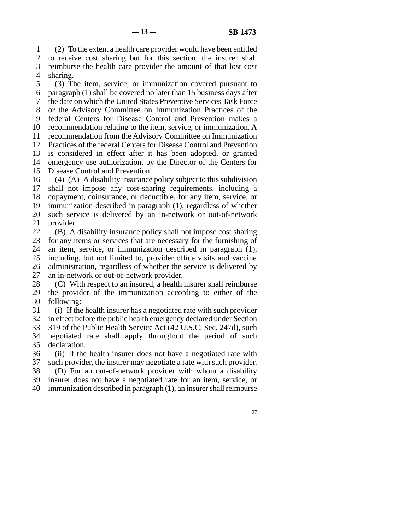line 1 (2) To the extent a health care provider would have been entitled 2 to receive cost sharing but for this section, the insurer shall 3 reimburse the health care provider the amount of that lost cost 4 sharing.

5 (3) The item, service, or immunization covered pursuant to 6 paragraph  $(1)$  shall be covered no later than 15 business days after 7 the date on which the United States Preventive Services Task Force 8 or the Advisory Committee on Immunization Practices of the 9 federal Centers for Disease Control and Prevention makes a 10 recommendation relating to the item, service, or immunization. A 11 recommendation from the Advisory Committee on Immunization 12 Practices of the federal Centers for Disease Control and Prevention 13 is considered in effect after it has been adopted, or granted 14 emergency use authorization, by the Director of the Centers for 15 Disease Control and Prevention.

16  $(4)$  (A) A disability insurance policy subject to this subdivision 17 shall not impose any cost-sharing requirements, including a 18 copayment, coinsurance, or deductible, for any item, service, or 19 immunization described in paragraph  $(1)$ , regardless of whether 20 such service is delivered by an in-network or out-of-network 21 provider.

22 (B) A disability insurance policy shall not impose cost sharing<br>23 for any items or services that are necessary for the furnishing of for any items or services that are necessary for the furnishing of 24 an item, service, or immunization described in paragraph (1), 25 including, but not limited to, provider office visits and vaccine including, but not limited to, provider office visits and vaccine 26 administration, regardless of whether the service is delivered by 27 an in-network or out-of-network provider.

 $28$  (C) With respect to an insured, a health insurer shall reimburse 29 the provider of the immunization according to either of the 30 following:

31 (i) If the health insurer has a negotiated rate with such provider 32 in effect before the public health emergency declared under Section 33 319 of the Public Health Service Act (42 U.S.C. Sec. 247d), such 34 negotiated rate shall apply throughout the period of such 35 declaration.

36 (ii) If the health insurer does not have a negotiated rate with 37 such provider, the insurer may negotiate a rate with such provider. 38 (D) For an out-of-network provider with whom a disability 39 insurer does not have a negotiated rate for an item, service, or

 $40$  immunization described in paragraph  $(1)$ , an insurer shall reimburse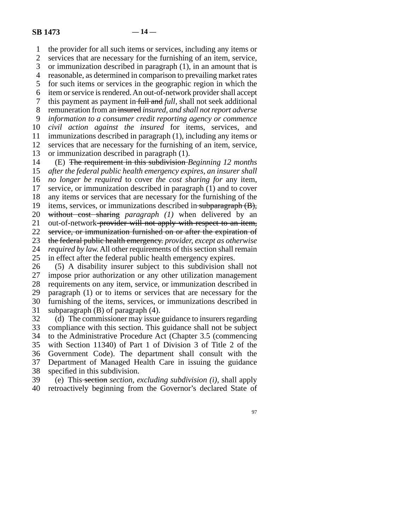line 1 the provider for all such items or services, including any items or 2 services that are necessary for the furnishing of an item, service,<br>3 or immunization described in paragraph (1), in an amount that is or immunization described in paragraph  $(1)$ , in an amount that is line 4 reasonable, as determined in comparison to prevailing market rates 5 for such items or services in the geographic region in which the 6 item or service is rendered. An out-of-network provider shall accept 7 this payment as payment in full and *full*, shall not seek additional line 8 remuneration from an insured *insured, and shall not report adverse*  9 *information to a consumer credit reporting agency or commence* 10 *civil action against the insured* for items, services, and 11 immunizations described in paragraph (1), including any items or 12 services that are necessary for the furnishing of an item, service, 13 or immunization described in paragraph  $(1)$ . line 14 (E) The requirement in this subdivision *Beginning 12 months*  15 *after the federal public health emergency expires, an insurer shall* 16 *no longer be required* to cover *the cost sharing for* any item, 17 service, or immunization described in paragraph (1) and to cover 18 any items or services that are necessary for the furnishing of the any items or services that are necessary for the furnishing of the

19 items, services, or immunizations described in subparagraph (B), 20 without cost sharing *paragraph* (1) when delivered by an

21 out-of-network provider will not apply with respect to an item,

22 service, or immunization furnished on or after the expiration of <br>23 the federal public health emergency *provider, except as otherwise* line 23 the federal public health emergency. *provider, except as otherwise* 

24 *required by law.* All other requirements of this section shall remain 25 in effect after the federal public health emergency expires. in effect after the federal public health emergency expires.

26 (5) A disability insurer subject to this subdivision shall not 27 impose prior authorization or any other utilization management impose prior authorization or any other utilization management 28 requirements on any item, service, or immunization described in 29 paragraph  $(1)$  or to items or services that are necessary for the 30 furnishing of the items, services, or immunizations described in 31 subparagraph  $(B)$  of paragraph  $(4)$ .

32 (d) The commissioner may issue guidance to insurers regarding 33 compliance with this section. This guidance shall not be subject 34 to the Administrative Procedure Act (Chapter 3.5 (commencing 35 with Section 11340) of Part 1 of Division 3 of Title 2 of the 36 Government Code). The department shall consult with the 37 Department of Managed Health Care in issuing the guidance 38 specified in this subdivision.<br>39 (e) This-section section, e.

 line 39 (e) This section *section, excluding subdivision (i),* shall apply 40 retroactively beginning from the Governor's declared State of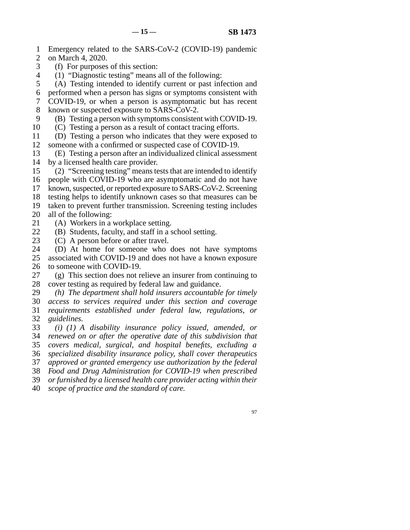- 1 Emergency related to the SARS-CoV-2 (COVID-19) pandemic
- 2 on March 4, 2020.
- 3 (f) For purposes of this section:
- 4 (1) "Diagnostic testing" means all of the following:
- 5 (A) Testing intended to identify current or past infection and
- 6 performed when a person has signs or symptoms consistent with
- 7 COVID-19, or when a person is asymptomatic but has recent 8 known or suspected exposure to SARS-CoV-2.
- 9 (B) Testing a person with symptoms consistent with COVID-19.
- 10 (C) Testing a person as a result of contact tracing efforts.
- line 11 (D) Testing a person who indicates that they were exposed to 12 someone with a confirmed or suspected case of COVID-19.
- 13 (E) Testing a person after an individualized clinical assessment 14 by a licensed health care provider.
- 15 (2) "Screening testing" means tests that are intended to identify 16 people with COVID-19 who are asymptomatic and do not have
- 17 known, suspected, or reported exposure to SARS-CoV-2. Screening
- 18 testing helps to identify unknown cases so that measures can be
- 19 taken to prevent further transmission. Screening testing includes 20 all of the following:
- 21 (A) Workers in a workplace setting.
- 22 (B) Students, faculty, and staff in a school setting.<br>23 (C) A person before or after travel.
- $(C)$  A person before or after travel.
- 24 (D) At home for someone who does not have symptoms 25 associated with COVID-19 and does not have a known exposure associated with COVID-19 and does not have a known exposure 26 to someone with COVID-19.
- 27 (g) This section does not relieve an insurer from continuing to 28 cover testing as required by federal law and guidance. cover testing as required by federal law and guidance.
- 29 (h) The department shall hold insurers accountable for timely
- line 30 *access to services required under this section and coverage*  line 31 *requirements established under federal law, regulations, or*
- 32 *guidelines.*
- line 33 *(i) (1) A disability insurance policy issued, amended, or*  line 34 *renewed on or after the operative date of this subdivision that*
- line 35 *covers medical, surgical, and hospital benefits, excluding a*
- line 36 *specialized disability insurance policy, shall cover therapeutics*
- line 37 *approved or granted emergency use authorization by the federal*
- line 38 *Food and Drug Administration for COVID-19 when prescribed*
- line 39 *or furnished by a licensed health care provider acting within their*
- line 40 *scope of practice and the standard of care.*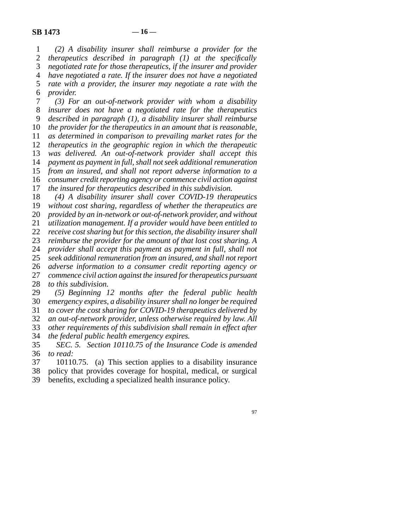line 1 *(2) A disability insurer shall reimburse a provider for the*  2 *therapeutics described in paragraph (1) at the specifically 3 negotiated rate for those therapeutics, if the insurer and provider negotiated rate for those therapeutics, if the insurer and provider*  line 4 *have negotiated a rate. If the insurer does not have a negotiated*  5 *rate with a provider, the insurer may negotiate a rate with the* line 6 *provider.* 

 line 7 *(3) For an out-of-network provider with whom a disability*  line 8 *insurer does not have a negotiated rate for the therapeutics*  line 9 *described in paragraph (1), a disability insurer shall reimburse the provider for the therapeutics in an amount that is reasonable, as determined in comparison to prevailing market rates for the therapeutics in the geographic region in which the therapeutic was delivered. An out-of-network provider shall accept this payment as payment in full, shall not seek additional remuneration from an insured, and shall not report adverse information to a consumer credit reporting agency or commence civil action against the insured for therapeutics described in this subdivision.* 

18 (4) A disability insurer shall cover COVID-19 therapeutics 19 *without cost sharing, regardless of whether the therapeutics are* 20 *provided by an in-network or out-of-network provider, and without* 21 *utilization management. If a provider would have been entitled to* 22 *receive cost sharing but for this section, the disability insurer shall*<br>23 *reimburse the provider for the amount of that lost cost sharing. A* reimburse the provider for the amount of that lost cost sharing. A 24 *provider shall accept this payment as payment in full, shall not*  $25$  *seek additional remuneration from an insured, and shall not report*  line 25 *seek additional remuneration from an insured, and shall not report*  line 26 *adverse information to a consumer credit reporting agency or*  27 *commence civil action against the insured for therapeutics pursuant* 

28 *to this subdivision.* 

 line 29 *(5) Beginning 12 months after the federal public health*  line 30 *emergency expires, a disability insurer shall no longer be required* 

31 *to cover the cost sharing for COVID-19 therapeutics delivered by* 

32 *an out-of-network provider, unless otherwise required by law. All* 33 *other requirements of this subdivision shall remain in effect after* 

other requirements of this subdivision shall remain in effect after

- 34 *the federal public health emergency expires.*
- line 35 *SEC. 5. Section 10110.75 of the Insurance Code is amended*  36 *to read:*
- 37 10110.75. (a) This section applies to a disability insurance
- 38 policy that provides coverage for hospital, medical, or surgical 39 benefits, excluding a specialized health insurance policy.
-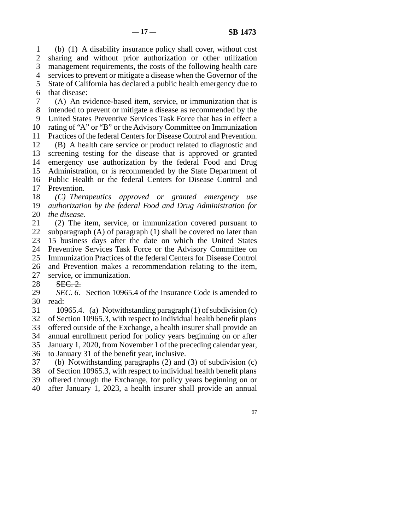line 1 (b) (1) A disability insurance policy shall cover, without cost 2 sharing and without prior authorization or other utilization 3 management requirements, the costs of the following health care line 4 services to prevent or mitigate a disease when the Governor of the 5 State of California has declared a public health emergency due to 6 that disease: line 7 (A) An evidence-based item, service, or immunization that is

8 intended to prevent or mitigate a disease as recommended by the 9 United States Preventive Services Task Force that has in effect a 10 rating of "A" or "B" or the Advisory Committee on Immunization 11 Practices of the federal Centers for Disease Control and Prevention. 12 (B) A health care service or product related to diagnostic and

13 screening testing for the disease that is approved or granted 14 emergency use authorization by the federal Food and Drug 15 Administration, or is recommended by the State Department of 16 Public Health or the federal Centers for Disease Control and 17 Prevention.

18 (C) Therapeutics approved or granted emergency use 19 *authorization by the federal Food and Drug Administration for* 20 *the disease.* 

21 (2) The item, service, or immunization covered pursuant to 22 subparagraph  $(A)$  of paragraph  $(1)$  shall be covered no later than 23 15 business days after the date on which the United States 24 Preventive Services Task Force or the Advisory Committee on<br>25 Immunization Practices of the federal Centers for Disease Control Immunization Practices of the federal Centers for Disease Control 26 and Prevention makes a recommendation relating to the item,

27 service, or immunization.

28 SEC. 2.

29 *SEC. 6.* Section 10965.4 of the Insurance Code is amended to 30 read:

31 10965.4. (a) Notwithstanding paragraph  $(1)$  of subdivision  $(c)$ 

32 of Section 10965.3, with respect to individual health benefit plans

33 offered outside of the Exchange, a health insurer shall provide an

34 annual enrollment period for policy years beginning on or after

35 January 1, 2020, from November 1 of the preceding calendar year,

36 to January 31 of the benefit year, inclusive.

37 (b) Notwithstanding paragraphs  $(2)$  and  $(3)$  of subdivision  $(c)$ 

38 of Section 10965.3, with respect to individual health benefit plans

39 offered through the Exchange, for policy years beginning on or

line 40 after January 1, 2023, a health insurer shall provide an annual